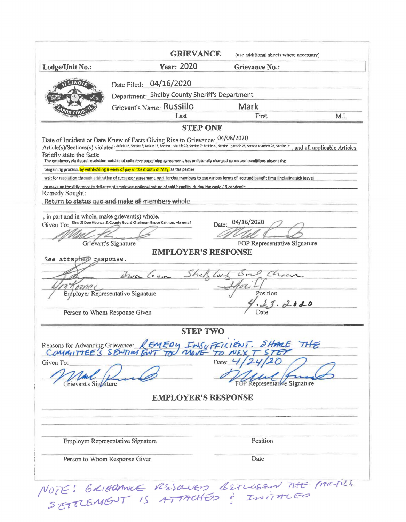|                                                                                                                                 | <b>GRIEVANCE</b>                                                                                                                                                                                                                                                                                                                                                                                    |                 | (use additional sheets where necessary)                                           |                             |
|---------------------------------------------------------------------------------------------------------------------------------|-----------------------------------------------------------------------------------------------------------------------------------------------------------------------------------------------------------------------------------------------------------------------------------------------------------------------------------------------------------------------------------------------------|-----------------|-----------------------------------------------------------------------------------|-----------------------------|
| Lodge/Unit No.:                                                                                                                 | Year: 2020                                                                                                                                                                                                                                                                                                                                                                                          |                 | <b>Grievance No.:</b>                                                             |                             |
|                                                                                                                                 | Date Filed: 04/16/2020                                                                                                                                                                                                                                                                                                                                                                              |                 |                                                                                   |                             |
|                                                                                                                                 | Department: Shelby County Sheriff's Department                                                                                                                                                                                                                                                                                                                                                      |                 |                                                                                   |                             |
|                                                                                                                                 | Grievant's Name: Russillo                                                                                                                                                                                                                                                                                                                                                                           |                 | Mark                                                                              |                             |
|                                                                                                                                 | Last                                                                                                                                                                                                                                                                                                                                                                                                |                 | First                                                                             | M.I.                        |
|                                                                                                                                 |                                                                                                                                                                                                                                                                                                                                                                                                     | <b>STEP ONE</b> |                                                                                   |                             |
| Briefly state the facts:                                                                                                        | Date of Incident or Date Knew of Facts Giving Rise to Grievance: 04/08/2020<br>Article(s)/Sections(s) violated: Artide 16, Section 3; Article 18, Section 1; Article 20, Section 7; Article 21, Section 1; Article 25, Section 4; Article 28, Section 2;<br>The employer, via Board resolution outside of collective bargaining agreement, has unilaterally changed terms and conditions absent the |                 |                                                                                   | and all applicable Articles |
|                                                                                                                                 | bargaining process, by withholding a week of pay in the month of May, as the parties                                                                                                                                                                                                                                                                                                                |                 |                                                                                   |                             |
|                                                                                                                                 | wait for resolution through arbitration of successor agreement, and forcing members to use various forms of accrued benefit time (including sick leave)                                                                                                                                                                                                                                             |                 |                                                                                   |                             |
| Remedy Sought:                                                                                                                  | to make up the difference in defiance of employee-optional nature of said benefits, during the covid-19 pandemic.<br>Return to status quo and make all members whole                                                                                                                                                                                                                                |                 |                                                                                   |                             |
| , in part and in whole, make grievant(s) whole.<br>Given To:<br>See attached response.<br>pona<br>Person to Whom Response Given | Sheriff Don Koonce & County Board Chairman Bruce Cannon, via email<br>Grievant's Signature<br><b>EMPLOYER'S RESPONSE</b><br>her<br>Bruce Can<br>Eryployer Representative Signature                                                                                                                                                                                                                  | Date:           | 04/16/2020<br>FOP Representative Signature<br>Char<br>Position<br>13.2020<br>Date |                             |
|                                                                                                                                 |                                                                                                                                                                                                                                                                                                                                                                                                     | <b>STEP TWO</b> |                                                                                   |                             |
| Given To:                                                                                                                       | Reasons for Advancing Grievance: REMEDY INSUFFICIENT. SHAME THE                                                                                                                                                                                                                                                                                                                                     |                 | Date: $4/$<br>e Signature                                                         |                             |
|                                                                                                                                 | <b>EMPLOYER'S RESPONSE</b>                                                                                                                                                                                                                                                                                                                                                                          |                 |                                                                                   |                             |
|                                                                                                                                 |                                                                                                                                                                                                                                                                                                                                                                                                     |                 |                                                                                   |                             |
|                                                                                                                                 | Employer Representative Signature                                                                                                                                                                                                                                                                                                                                                                   |                 | Position                                                                          |                             |
| Person to Whom Response Given                                                                                                   |                                                                                                                                                                                                                                                                                                                                                                                                     |                 | Date                                                                              |                             |
|                                                                                                                                 | NOTE: GRIBOMICE RESOURS BETWEEN THE PARTIES                                                                                                                                                                                                                                                                                                                                                         |                 |                                                                                   |                             |